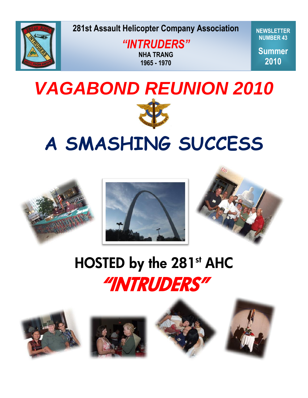

**281st Assault Helicopter Company Association** 

**Spring 2009** *"INTRUDERS"* **NHA TRANG 1965 - 1970**

**NEWSLETTER NUMBER 43**

**Summer 2010**



# **A SMASHING SUCCESS**



## HOSTED by the 281st AHC "INTRUDERS"







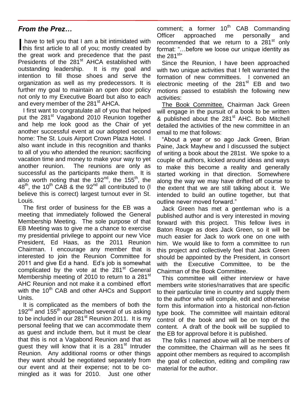## *From the Prez…*

have to tell you that I am a bit intimidated with have to tell you that I am a bit intimidated with this first article to all of you; mostly created by the great work and precedence that the past Presidents of the 281<sup>st</sup> AHCA established with outstanding leadership. It is my goal and intention to fill those shoes and serve the organization as well as my predecessors. It is further my goal to maintain an open door policy not only to my Executive Board but also to each and every member of the 281<sup>st</sup> AHCA.

I first want to congratulate all of you that helped put the 281<sup>st</sup> Vagabond 2010 Reunion together and help me look good as the Chair of yet another successful event at our adopted second home: The St. Louis Airport Crown Plaza Hotel. I also want include in this recognition and thanks to all of you who attended the reunion; sacrificing vacation time and money to make your way to yet another reunion. The reunions are only as successful as the participants make them. It is also worth noting that the 192 $<sup>nd</sup>$ , the 155<sup>th</sup>, the</sup>  $48<sup>th</sup>$ , the 10<sup>th</sup> CAB & the 92<sup>nd</sup> all contributed to (I) believe this is correct) largest turnout ever in St. Louis.

The first order of business for the EB was a meeting that immediately followed the General Membership Meeting. The sole purpose of that EB Meeting was to give me a chance to exercise my presidential privilege to appoint our new Vice President, Ed Haas, as the 2011 Reunion Chairman. I encourage any member that is interested to join the Reunion Committee for 2011 and give Ed a hand. Ed's job is somewhat complicated by the vote at the 281<sup>st</sup> General Membership meeting of 2010 to return to a 281<sup>st</sup> AHC Reunion and not make it a combined effort with the 10<sup>th</sup> CAB and other AHCs and Support Units.

It is complicated as the members of both the 192 $^{nd}$  and 155 $^{th}$  approached several of us asking to be included in our  $281<sup>st</sup>$  Reunion 2011. It is my personal feeling that we can accommodate them as guest and include them, but it must be clear that this is not a Vagabond Reunion and that as quest they will know that it is a 281<sup>st</sup> Intruder Reunion. Any additional rooms or other things they want should be negotiated separately from our event and at their expense; not to be comingled as it was for 2010. Just one other

comment; a former  $10^{th}$  CAB Commanding Officer approached me personally and recommended that we return to a 281<sup>st</sup> only format: "…before we loose our unique identity as the 281 $^{\rm st}$ "

Since the Reunion, I have been approached with two unique activities that I felt warranted the formation of new committees. I convened an electronic meeting of the 281<sup>st</sup> EB and two motions passed to establish the following new activities:

The Book Committee. Chairman Jack Green will engage in the pursuit of a book to be written & published about the 281<sup>st</sup> AHC. Bob Mitchell detailed the activities of the new committee in an email to me that follows:

"About a year or so ago Jack Green, Brian Paine, Jack Mayhew and I discussed the subject of writing a book about the 281st. We spoke to a couple of authors, kicked around ideas and ways to make this become a reality and generally started working in that direction. Somewhere along the way we may have drifted off course to the extent that we are still talking about it. We intended to build an outline together, but that outline never moved forward."

Jack Green has met a gentleman who is a published author and is very interested in moving forward with this project. This fellow lives in Baton Rouge as does Jack Green, so it will be much easier for Jack to work one on one with him. We would like to form a committee to run this project and collectively feel that Jack Green should be appointed by the President, in consort with the Executive Committee, to be the Chairman of the Book Committee.

This committee will either interview or have members write stories/narratives that are specific to their particular time in country and supply them to the author who will compile, edit and otherwise form this information into a historical non-fiction type book. The committee will maintain editoral control of the book and will be on top of the content. A draft of the book will be supplied to the EB for approval before it is published.

The folks I named above will all be members of the committee, the Chairman will as he sees fit appoint other members as required to accomplish the goal of collection, editing and compiling raw material for the author.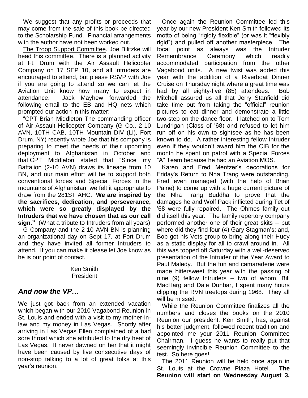We suggest that any profits or proceeds that may come from the sale of this book be directed to the Scholarship Fund. Financial arrangements with the author have not been worked out.

The Troop Support Committee. Joe Bilitzke will head this committee. There is a planned activity at Ft. Drum with the Air Assault Helicopter Company on 17 SEP 10, and all Intruders are encouraged to attend, but please RSVP with Joe if you are going to attend so we can let the Aviation Unit know how many to expect in attendance. Jack Mayhew forwarded the following email to the EB and HQ nets which prompted our action in this matter:

"CPT Brian Middleton The commanding officer of Air Assault Helicopter Company (G Co., 2-10 AVN, 10TH CAB, 10TH Mountain DIV (LI), Fort Drum, NY) recently wrote Joe that his company is preparing to meet the needs of their upcoming deployment to Afghanistan in October and that CPT Middleton stated that "Since my Battalion (2-10 AVN) draws its lineage from 10 BN, and our main effort will be to support both conventional forces and Special Forces in the mountains of Afghanistan, we felt it appropriate to draw from the 281ST AHC. **We are inspired by the sacrifices, dedication, and perseverance, which were so greatly displayed by the Intruders that we have chosen that as our call sign."** (What a tribute to Intruders from all years)

G Company and the 2-10 AVN BN is planning an organizational day on Sept 17, at Fort Drum and they have invited all former Intruders to attend. If you can make it please let Joe know as he is our point of contact.

> Ken Smith President

## *And now the VP…*

We just got back from an extended vacation which began with our 2010 Vagabond Reunion in St. Louis and ended with a visit to my mother-inlaw and my money in Las Vegas. Shortly after arriving in Las Vegas Ellen complained of a bad sore throat which she attributed to the dry heat of Las Vegas. It never dawned on her that it might have been caused by five consecutive days of non-stop talking to a lot of great folks at this year's reunion.

Once again the Reunion Committee led this year by our new President Ken Smith followed its motto of being "rigidly flexible" (or was it "flexibly rigid") and pulled off another masterpiece. The focal point as always was the Intruder Remembrance Ceremony which readily accommodated participation from the other Vagabond units. A new twist was added this year with the addition of a Riverboat Dinner Cruise on Thursday night where a great time was had by all eighty-five (85) attendees. Bob Mitchell assured us all that Jerry Stanfield did take time out from taking the "official" reunion pictures to eat dinner and demonstrate a little two-step on the dance floor. I latched on to Tom Lundrigan (Class of '68) and refused to let him run off on his own to sightsee as he has been known to do. A rather interesting fellow Intruder even if they wouldn't award him the CIB for the month he spent on patrol with a Special Forces "A" Team because he had an Aviation MOS.

Karen and Fred Mentzer's decorations for Friday's Return to Nha Trang were outstanding. Fred even managed (with the help of Brian Paine) to come up with a huge current picture of the Nha Trang Buddha to prove that the damages he and Wolf Pack inflicted during Tet of '68 were fully repaired. The Ohmes family out did itself this year. The family repertory company performed another one of their great skits – but where did they find four (4) Gary Stagman's; and, Bob got his Vets group to bring along their Huey as a static display for all to crawl around in. All this was topped off Saturday with a well-deserved presentation of the Intruder of the Year Award to Paul Maledy. But the fun and camaraderie were made bittersweet this year with the passing of nine (9) fellow Intruders – two of whom, Bill MacHarg and Dale Dunbar, I spent many hours clipping the RVN treetops during 1968. They all will be missed.

While the Reunion Committee finalizes all the numbers and closes the books on the 2010 Reunion our president, Ken Smith, has, against his better judgment, followed recent tradition and appointed me your 2011 Reunion Committee Chairman. I guess he wants to really put that seemingly invincible Reunion Committee to the test. So here goes!

The 2011 Reunion will be held once again in St. Louis at the Crowne Plaza Hotel. **The Reunion will start on Wednesday August 3,**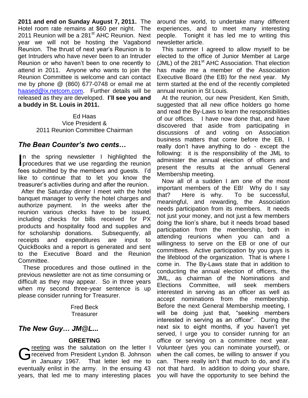**2011 and end on Sunday August 7, 2011.** The Hotel room rate remains at \$60 per night. The 2011 Reunion will be a 281<sup>st</sup> AHC Reunion. Next year we will not be hosting the Vagabond Reunion. The thrust of next year's Reunion is to get Intruders who have never been to an Intruder Reunion or who haven't been to one recently to attend in 2011. Anyone who wants to join the Reunion Committee is welcome and can contact me by phone @ (860) 677-0748 or email me at [haased@ix.netcom.com.](mailto:haased@ix.netcom.com) Further details will be released as they are developed. **I'll see you and a buddy in St. Louis in 2011.**

> Ed Haas Vice President & 2011 Reunion Committee Chairman

#### *The Bean Counter's two cents…*

In the spring newsletter I highlighted the procedures that we use regarding the reunion procedures that we use regarding the reunion fees submitted by the members and guests. I'd like to continue that to let you know the treasurer's activities during and after the reunion.

 After the Saturday dinner I meet with the hotel banquet manager to verify the hotel charges and authorize payment. In the weeks after the reunion various checks have to be issued, including checks for bills received for PX products and hospitality food and supplies and for scholarship donations. Subsequently, all receipts and expenditures are input to QuickBooks and a report is generated and sent to the Executive Board and the Reunion Committee.

These procedures and those outlined in the previous newsletter are not as time consuming or difficult as they may appear. So in three years when my second three-year sentence is up please consider running for Treasurer.

> Fred Beck **Treasurer**

#### *The New Guy… JM@L...*

#### **GREETING**

received from President Lyndon B. Johnson<br>in January 1967. That letter led me to received from President Lyndon B. Johnson in January 1967. That letter led me to eventually enlist in the army. In the ensuing 43 years, that led me to many interesting places

around the world, to undertake many different experiences, and to meet many interesting people. Tonight it has led me to writing this newsletter article.

This summer I agreed to allow myself to be elected to the office of Junior Member at Large (JML) of the  $281<sup>st</sup>$  AHC Association. That election has made me a member of the Association Executive Board (the EB) for the next year. My term started at the end of the recently completed annual reunion in St Louis.

At the reunion, our new President, Ken Smith, suggested that all new office holders go home and read the By-Laws to learn the responsibilities of our offices. I have now done that, and have discovered that aside from participating in discussions of and voting on Association business matters that come before the EB, I really don't have anything to do - except the following: it is the responsibility of the JML to administer the annual election of officers and present the results at the annual General Membership meeting.

Now all of a sudden I am one of the most important members of the EB! Why do I say that? Here is why. To be successful, meaningful, and rewarding, the Association needs participation from its members. It needs not just your money, and not just a few members doing the lion's share, but it needs broad based participation from the membership, both in attending reunions when you can and a willingness to serve on the EB or one of our committees. Active participation by you guys is the lifeblood of the organization. That is where I come in. The By-Laws state that in addition to conducting the annual election of officers, the JML, as chairman of the Nominations and Elections Committee, will seek members interested in serving as an officer as well as accept nominations from the membership. Before the next General Membership meeting, I will be doing just that, "seeking members interested in serving as an officer". During the next six to eight months, if you haven't yet served, I urge you to consider running for an office or serving on a committee next year. Volunteer (yes you can nominate yourself), or when the call comes, be willing to answer if you can. There really isn't that much to do, and it's not that hard. In addition to doing your share, you will have the opportunity to see behind the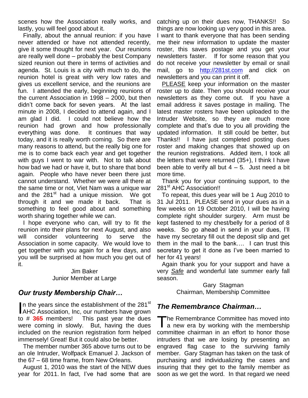scenes how the Association really works, and lastly, you will feel good about it.

Finally, about the annual reunion: if you have never attended or have not attended recently, give it some thought for next year. Our reunions are really well done – probably the best Company sized reunion out there in terms of activities and agenda. St. Louis is a city with much to do, the reunion hotel is great with very low rates and gives us excellent service, and the reunions are fun. I attended the early, beginning reunions of the current Association in 1998 – 2000, but then didn't come back for seven years. At the last minute in 2008, I decided to attend again, and I am glad I did. I could not believe how the reunion had grown and how professionally everything was done. It continues that way today, and it is really worth coming. So there are many reasons to attend, but the really big one for me is to come back each year and get together with guys I went to war with. Not to talk about how bad we had or have it, but to share that bond again. People who have never been there just cannot understand. Whether we were all there at the same time or not, Viet Nam was a unique war and the  $281<sup>st</sup>$  had a unique mission. We got through it and we made it back. That is something to feel good about and something worth sharing together while we can.

I hope everyone who can, will try to fit the reunion into their plans for next August, and also will consider volunteering to serve the Association in some capacity. We would love to get together with you again for a few days, and you will be surprised at how much you get out of it.

#### Jim Baker Junior Member at Large

## *Our trusty Membership Chair…*

n the years since the establishment of the 281<sup>st</sup> In the years since the establishment of the 281<sup>st</sup><br>AHC Association, Inc, our numbers have grown to # **365** members! This past year the dues were coming in slowly. But, having the dues included on the reunion registration form helped immensely! Great! But it could also be better.

The member number 365 above turns out to be an ole Intruder, Wolfpack Emanuel J. Jackson of the 67 – 68 time frame, from New Orleans.

August 1, 2010 was the start of the NEW dues year for 2011. In fact, I've had some that are catching up on their dues now, THANKS!! So things are now looking up very good in this area.

I want to thank everyone that has been sending me their new information to update the master roster, this saves postage and you get your newsletters faster. If for some reason that you do not receive your newsletter by email or snail mail, go to [http://281st.com](http://281st.com/) and click on newsletters and you can print it off.

PLEASE keep your information on the master roster up to date. Then you should receive your newsletters as they come out. If you have a email address it saves postage in mailing. The latest master rosters have been uploaded to the Intruder Website, so they are much more complete and that's due to you all providing the updated information. It still could be better, but Thanks!! I have just completed posting dues roster and making changes that showed up on the reunion registrations. Added item, I took all the letters that were returned (35+), I think I have been able to verify all but  $4 - 5$ . Just need a bit more time.

Thank you for your continuing support, to the 281<sup>st</sup> AHC Association!!

To repeat, this dues year will be 1 Aug 2010 to 31 Jul 2011. PLEASE send in your dues as in a few weeks on 19 October 2010, I will be having complete right shoulder surgery. Arm must be kept fastened to my chest/belly for a period of 8 weeks. So go ahead in send in your dues, I'll have my secretary fill out the deposit slip and get them in the mail to the bank…. I can trust this secretary to get it done as I've been married to her for 41 years!

Again thank you for your support and have a very *Safe* and wonderful late summer early fall season.

> Gary Stagman Chairman, Membership Committee

## *The Remembrance Chairman…*

he Remembrance Committee has moved into The Remembrance Committee has moved into<br>a new era by working with the membership committee chairman in an effort to honor those intruders that we are losing by presenting an engraved flag case to the surviving family member. Gary Stagman has taken on the task of purchasing and individualizing the cases and insuring that they get to the family member as soon as we get the word. In that regard we need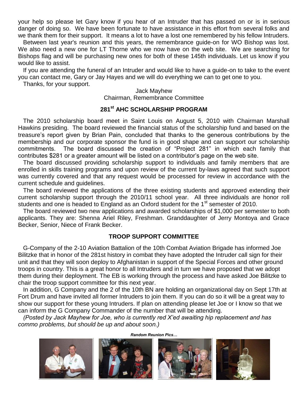your help so please let Gary know if you hear of an Intruder that has passed on or is in serious danger of doing so. We have been fortunate to have assistance in this effort from several folks and we thank them for their support. It means a lot to have a lost one remembered by his fellow Intruders.

Between last year's reunion and this years, the remembrance guide-on for WO Bishop was lost. We also need a new one for LT Thorne who we now have on the web site. We are searching for Bishops flag and will be purchasing new ones for both of these 145th individuals. Let us know if you would like to assist.

If you are attending the funeral of an Intruder and would like to have a guide-on to take to the event you can contact me, Gary or Jay Hayes and we will do everything we can to get one to you.

Thanks, for your support.

#### Jack Mayhew Chairman, Remembrance Committee

#### **281st AHC SCHOLARSHIP PROGRAM**

The 2010 scholarship board meet in Saint Louis on August 5, 2010 with Chairman Marshall Hawkins presiding. The board reviewed the financial status of the scholarship fund and based on the treasure's report given by Brian Pain, concluded that thanks to the generous contributions by the membership and our corporate sponsor the fund is in good shape and can support our scholarship commitments. The board discussed the creation of "Project 281" in which each family that contributes \$281 or a greater amount will be listed on a contributor's page on the web site.

The board discussed providing scholarship support to individuals and family members that are enrolled in skills training programs and upon review of the current by-laws agreed that such support was currently covered and that any request would be processed for review in accordance with the current schedule and guidelines.

The board reviewed the applications of the three existing students and approved extending their current scholarship support through the 2010/11 school year. All three individuals are honor roll students and one is headed to England as an Oxford student for the 1<sup>st</sup> semester of 2010.

The board reviewed two new applications and awarded scholarships of \$1,000 per semester to both applicants. They are: Shenna Ariel Riley, Freshman. Granddaughter of Jerry Montoya and Grace Becker, Senior, Niece of Frank Becker.

#### **TROOP SUPPORT COMMITTEE**

G-Company of the 2-10 Aviation Battalion of the 10th Combat Aviation Brigade has informed Joe Bilitzke that in honor of the 281st history in combat they have adopted the Intruder call sign for their unit and that they will soon deploy to Afghanistan in support of the Special Forces and other ground troops in country. This is a great honor to all Intruders and in turn we have proposed that we adopt them during their deployment. The EB is working through the process and have asked Joe Bilitzke to chair the troop support committee for this next year.

In addition, G Company and the 2 of the 10th BN are holding an organizational day on Sept 17th at Fort Drum and have invited all former Intruders to join them. If you can do so it will be a great way to show our support for these young Intruders. If plan on attending please let Joe or I know so that we can inform the G Company Commander of the number that will be attending.

*Random Reunion Pics…*

*(Posted by Jack Mayhew for Joe, who is currently red X'ed awaiting hip replacement and has commo problems, but should be up and about soon.)*







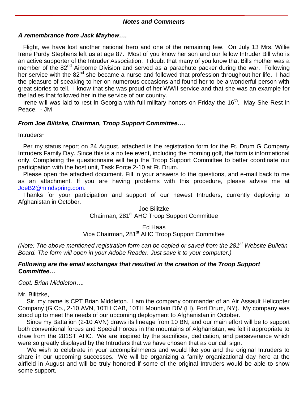#### *Notes and Comments*

#### *A remembrance from Jack Mayhew….*

Flight, we have lost another national hero and one of the remaining few. On July 13 Mrs. Willie Irene Purdy Stephens left us at age 87. Most of you know her son and our fellow Intruder Bill who is an active supporter of the Intruder Association. I doubt that many of you know that Bills mother was a member of the 82<sup>nd</sup> Airborne Division and served as a parachute packer during the war. Following her service with the 82<sup>nd</sup> she became a nurse and followed that profession throughout her life. I had the pleasure of speaking to her on numerous occasions and found her to be a wonderful person with great stories to tell. I know that she was proud of her WWII service and that she was an example for the ladies that followed her in the service of our country.

Irene will was laid to rest in Georgia with full military honors on Friday the 16<sup>th</sup>. May She Rest in Peace. - JM

#### *From Joe Bilitzke, Chairman, Troop Support Committee….*

Intruders~

Per my status report on 24 August, attached is the registration form for the Ft. Drum G Company Intruders Family Day. Since this is a no fee event, including the morning golf, the form is informational only. Completing the questionnaire will help the Troop Support Committee to better coordinate our participation with the host unit, Task Force 2-10 at Ft. Drum.

Please open the attached document. Fill in your answers to the questions, and e-mail back to me as an attachment. If you are having problems with this procedure, please advise me at [JoeB2@mindspring.com.](mailto:JoeB2@mindspring.com)

Thanks for your participation and support of our newest Intruders, currently deploying to Afghanistan in October.

#### Joe Bilitzke Chairman, 281<sup>st</sup> AHC Troop Support Committee

#### Ed Haas

Vice Chairman, 281<sup>st</sup> AHC Troop Support Committee

*(Note: The above mentioned registration form can be copied or saved from the 281st Website Bulletin Board. The form will open in your Adobe Reader. Just save it to your computer.)*

#### *Following are the email exchanges that resulted in the creation of the Troop Support Committee…*

*Capt. Brian Middleton….* 

Mr. Bilitzke,

 Sir, my name is CPT Brian Middleton. I am the company commander of an Air Assault Helicopter Company (G Co., 2-10 AVN, 10TH CAB, 10TH Mountain DIV (LI), Fort Drum, NY). My company was stood up to meet the needs of our upcoming deployment to Afghanistan in October.

 Since my Battalion (2-10 AVN) draws its lineage from 10 BN, and our main effort will be to support both conventional forces and Special Forces in the mountains of Afghanistan, we felt it appropriate to draw from the 281ST AHC. We are inspired by the sacrifices, dedication, and perseverance which were so greatly displayed by the Intruders that we have chosen that as our call sign.

 We wish to celebrate in your accomplishments and would like you and the original Intruders to share in our upcoming successes. We will be organizing a family organizational day here at the airfield in August and will be truly honored if some of the original Intruders would be able to show some support.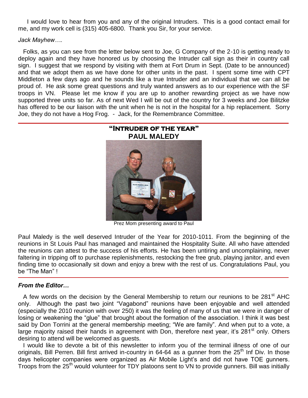I would love to hear from you and any of the original Intruders. This is a good contact email for me, and my work cell is (315) 405-6800. Thank you Sir, for your service.

#### *Jack Mayhew….*

Folks, as you can see from the letter below sent to Joe, G Company of the 2-10 is getting ready to deploy again and they have honored us by choosing the Intruder call sign as their in country call sign. I suggest that we respond by visiting with them at Fort Drum in Sept. (Date to be announced) and that we adopt them as we have done for other units in the past. I spent some time with CPT Middleton a few days ago and he sounds like a true Intruder and an individual that we can all be proud of. He ask some great questions and truly wanted answers as to our experience with the SF troops in VN. Please let me know if you are up to another rewarding project as we have now supported three units so far. As of next Wed I will be out of the country for 3 weeks and Joe Bilitzke has offered to be our liaison with the unit when he is not in the hospital for a hip replacement. Sorry Joe, they do not have a Hog Frog. - Jack, for the Remembrance Committee.



Prez Mom presenting award to Paul

Paul Maledy is the well deserved Intruder of the Year for 2010-1011. From the beginning of the reunions in St Louis Paul has managed and maintained the Hospitality Suite. All who have attended the reunions can attest to the success of his efforts. He has been untiring and uncomplaining, never faltering in tripping off to purchase replenishments, restocking the free grub, playing janitor, and even finding time to occasionally sit down and enjoy a brew with the rest of us. Congratulations Paul, you be "The Man" !

#### *From the Editor…*

A few words on the decision by the General Membership to return our reunions to be 281<sup>st</sup> AHC only. Although the past two joint "Vagabond" reunions have been enjoyable and well attended (especially the 2010 reunion with over 250) it was the feeling of many of us that we were in danger of losing or weakening the "glue" that brought about the formation of the association. I think it was best said by Don Torrini at the general membership meeting; "We are family". And when put to a vote, a large majority raised their hands in agreement with Don, therefore next year, it's 281<sup>st</sup> only. Others desiring to attend will be welcomed as guests.

I would like to devote a bit of this newsletter to inform you of the terminal illness of one of our originals, Bill Perren. Bill first arrived in-country in 64-64 as a gunner from the 25<sup>th</sup> Inf Div. In those days helicopter companies were organized as Air Mobile Light's and did not have TOE gunners. Troops from the 25<sup>th</sup> would volunteer for TDY platoons sent to VN to provide gunners. Bill was initially